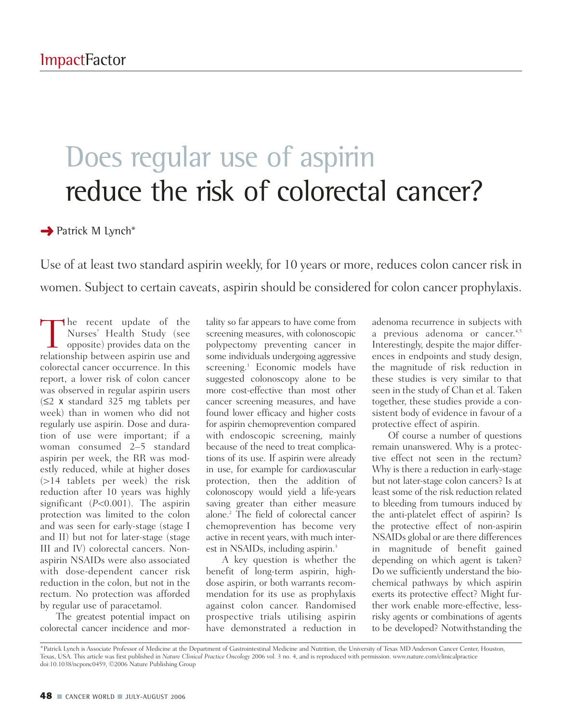## Does regular use of aspirin reduce the risk of colorectal cancer?

**→** Patrick M Lynch<sup>\*</sup>

Use of at least two standard aspirin weekly, for 10 years or more, reduces colon cancer risk in women. Subject to certain caveats, aspirin should be considered for colon cancer prophylaxis.

The recent update of the<br>Nurses' Health Study (see<br>opposite) provides data on the<br>relationship between aspirin use and Nurses' Health Study (see opposite) provides data on the relationship between aspirin use and colorectal cancer occurrence. In this report, a lower risk of colon cancer was observed in regular aspirin users (≤2 x standard 325 mg tablets per week) than in women who did not regularly use aspirin. Dose and duration of use were important; if a woman consumed 2–5 standard aspirin per week, the RR was modestly reduced, while at higher doses (>14 tablets per week) the risk reduction after 10 years was highly significant (*P*<0.001). The aspirin protection was limited to the colon and was seen for early-stage (stage I and II) but not for later-stage (stage III and IV) colorectal cancers. Nonaspirin NSAIDs were also associated with dose-dependent cancer risk reduction in the colon, but not in the rectum. No protection was afforded by regular use of paracetamol.

The greatest potential impact on colorectal cancer incidence and mor-

tality so far appears to have come from screening measures, with colonoscopic polypectomy preventing cancer in some individuals undergoing aggressive screening.<sup>1</sup> Economic models have suggested colonoscopy alone to be more cost-effective than most other cancer screening measures, and have found lower efficacy and higher costs for aspirin chemoprevention compared with endoscopic screening, mainly because of the need to treat complications of its use. If aspirin were already in use, for example for cardiovascular protection, then the addition of colonoscopy would yield a life-years saving greater than either measure alone.2 The field of colorectal cancer chemoprevention has become very active in recent years, with much interest in NSAIDs, including aspirin.<sup>3</sup>

A key question is whether the benefit of long-term aspirin, highdose aspirin, or both warrants recommendation for its use as prophylaxis against colon cancer. Randomised prospective trials utilising aspirin have demonstrated a reduction in

adenoma recurrence in subjects with a previous adenoma or cancer.<sup>4,5</sup> Interestingly, despite the major differences in endpoints and study design, the magnitude of risk reduction in these studies is very similar to that seen in the study of Chan et al. Taken together, these studies provide a consistent body of evidence in favour of a protective effect of aspirin.

Of course a number of questions remain unanswered. Why is a protective effect not seen in the rectum? Why is there a reduction in early-stage but not later-stage colon cancers? Is at least some of the risk reduction related to bleeding from tumours induced by the anti-platelet effect of aspirin? Is the protective effect of non-aspirin NSAIDs global or are there differences in magnitude of benefit gained depending on which agent is taken? Do we sufficiently understand the biochemical pathways by which aspirin exerts its protective effect? Might further work enable more-effective, lessrisky agents or combinations of agents to be developed? Notwithstanding the

<sup>\*</sup>Patrick Lynch is Associate Professor of Medicine at the Department of Gastrointestinal Medicine and Nutrition, the University of Texas MD Anderson Cancer Center, Houston, Texas, USA. This article was first published in *Nature Clinical Practice Oncology* 2006 vol. 3 no. 4, and is reproduced with permission. www.nature.com/clinicalpractice doi:10.1038/ncponc0459, ©2006 Nature Publishing Group